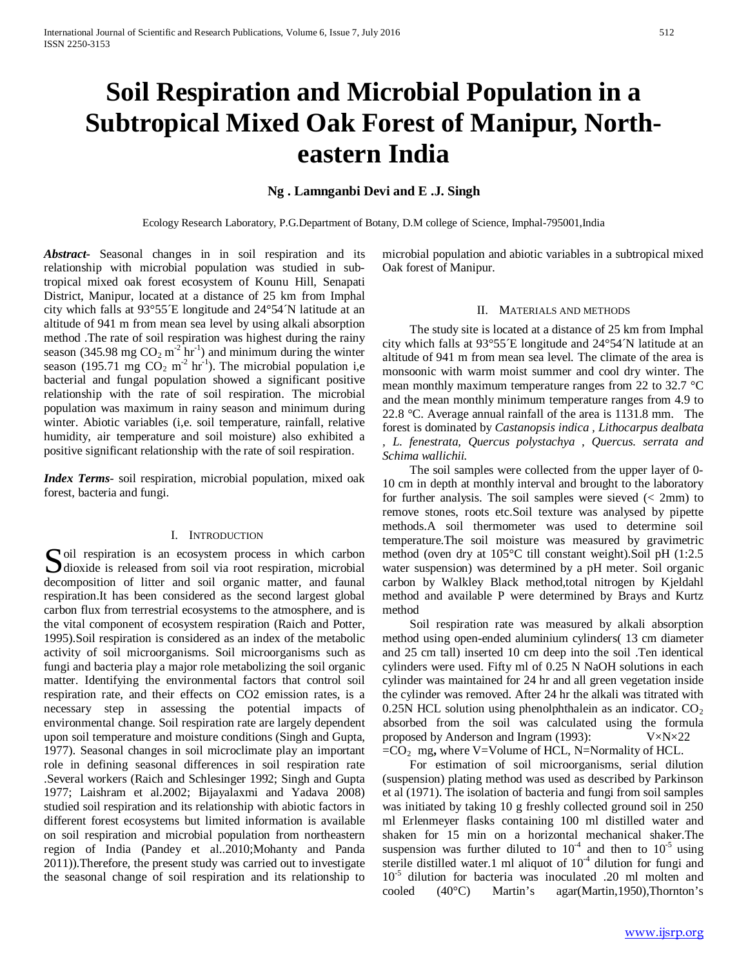# **Soil Respiration and Microbial Population in a Subtropical Mixed Oak Forest of Manipur, Northeastern India**

# **Ng . Lamnganbi Devi and E .J. Singh**

Ecology Research Laboratory, P.G.Department of Botany, D.M college of Science, Imphal-795001,India

*Abstract***-** Seasonal changes in in soil respiration and its relationship with microbial population was studied in subtropical mixed oak forest ecosystem of Kounu Hill, Senapati District, Manipur, located at a distance of 25 km from Imphal city which falls at 93°55´E longitude and 24°54´N latitude at an altitude of 941 m from mean sea level by using alkali absorption method .The rate of soil respiration was highest during the rainy season (345.98 mg  $CO_2$  m<sup>-2</sup> hr<sup>-1</sup>) and minimum during the winter season (195.71 mg  $CO_2$  m<sup>-2</sup> hr<sup>-1</sup>). The microbial population i,e bacterial and fungal population showed a significant positive relationship with the rate of soil respiration. The microbial population was maximum in rainy season and minimum during winter. Abiotic variables (i,e. soil temperature, rainfall, relative humidity, air temperature and soil moisture) also exhibited a positive significant relationship with the rate of soil respiration.

*Index Terms*- soil respiration, microbial population, mixed oak forest, bacteria and fungi.

### I. INTRODUCTION

Soil respiration is an ecosystem process in which carbon dioxide is released from soil via root respiration, microbial  $\bigcup$  dioxide is released from soil via root respiration, microbial decomposition of litter and soil organic matter, and faunal respiration.It has been considered as the second largest global carbon flux from terrestrial ecosystems to the atmosphere, and is the vital component of ecosystem respiration (Raich and Potter, 1995).Soil respiration is considered as an index of the metabolic activity of soil microorganisms. Soil microorganisms such as fungi and bacteria play a major role metabolizing the soil organic matter. Identifying the environmental factors that control soil respiration rate, and their effects on CO2 emission rates, is a necessary step in assessing the potential impacts of environmental change. Soil respiration rate are largely dependent upon soil temperature and moisture conditions (Singh and Gupta, 1977). Seasonal changes in soil microclimate play an important role in defining seasonal differences in soil respiration rate .Several workers (Raich and Schlesinger 1992; Singh and Gupta 1977; Laishram et al.2002; Bijayalaxmi and Yadava 2008) studied soil respiration and its relationship with abiotic factors in different forest ecosystems but limited information is available on soil respiration and microbial population from northeastern region of India (Pandey et al..2010;Mohanty and Panda 2011)).Therefore, the present study was carried out to investigate the seasonal change of soil respiration and its relationship to

microbial population and abiotic variables in a subtropical mixed Oak forest of Manipur.

## II. MATERIALS AND METHODS

 The study site is located at a distance of 25 km from Imphal city which falls at 93°55´E longitude and 24°54´N latitude at an altitude of 941 m from mean sea level*.* The climate of the area is monsoonic with warm moist summer and cool dry winter. The mean monthly maximum temperature ranges from 22 to 32.7 °C and the mean monthly minimum temperature ranges from 4.9 to 22.8 °C. Average annual rainfall of the area is 1131.8 mm. The forest is dominated by *Castanopsis indica , Lithocarpus dealbata , L. fenestrata, Quercus polystachya , Quercus. serrata and Schima wallichii.*

 The soil samples were collected from the upper layer of 0- 10 cm in depth at monthly interval and brought to the laboratory for further analysis. The soil samples were sieved  $\ll$  2mm) to remove stones, roots etc.Soil texture was analysed by pipette methods.A soil thermometer was used to determine soil temperature.The soil moisture was measured by gravimetric method (oven dry at 105°C till constant weight).Soil pH (1:2.5 water suspension) was determined by a pH meter. Soil organic carbon by Walkley Black method,total nitrogen by Kjeldahl method and available P were determined by Brays and Kurtz method

 Soil respiration rate was measured by alkali absorption method using open-ended aluminium cylinders( 13 cm diameter and 25 cm tall) inserted 10 cm deep into the soil .Ten identical cylinders were used. Fifty ml of 0.25 N NaOH solutions in each cylinder was maintained for 24 hr and all green vegetation inside the cylinder was removed. After 24 hr the alkali was titrated with 0.25N HCL solution using phenolphthalein as an indicator.  $CO<sub>2</sub>$ absorbed from the soil was calculated using the formula proposed by Anderson and Ingram (1993): V×N×22  $=CO<sub>2</sub>$  mg, where V=Volume of HCL, N=Normality of HCL.

 For estimation of soil microorganisms, serial dilution (suspension) plating method was used as described by Parkinson et al (1971). The isolation of bacteria and fungi from soil samples was initiated by taking 10 g freshly collected ground soil in 250 ml Erlenmeyer flasks containing 100 ml distilled water and shaken for 15 min on a horizontal mechanical shaker.The suspension was further diluted to  $10^{-4}$  and then to  $10^{-5}$  using sterile distilled water.1 ml aliquot of  $10^{-4}$  dilution for fungi and 10-5 dilution for bacteria was inoculated .20 ml molten and cooled (40°C) Martin's agar(Martin,1950),Thornton's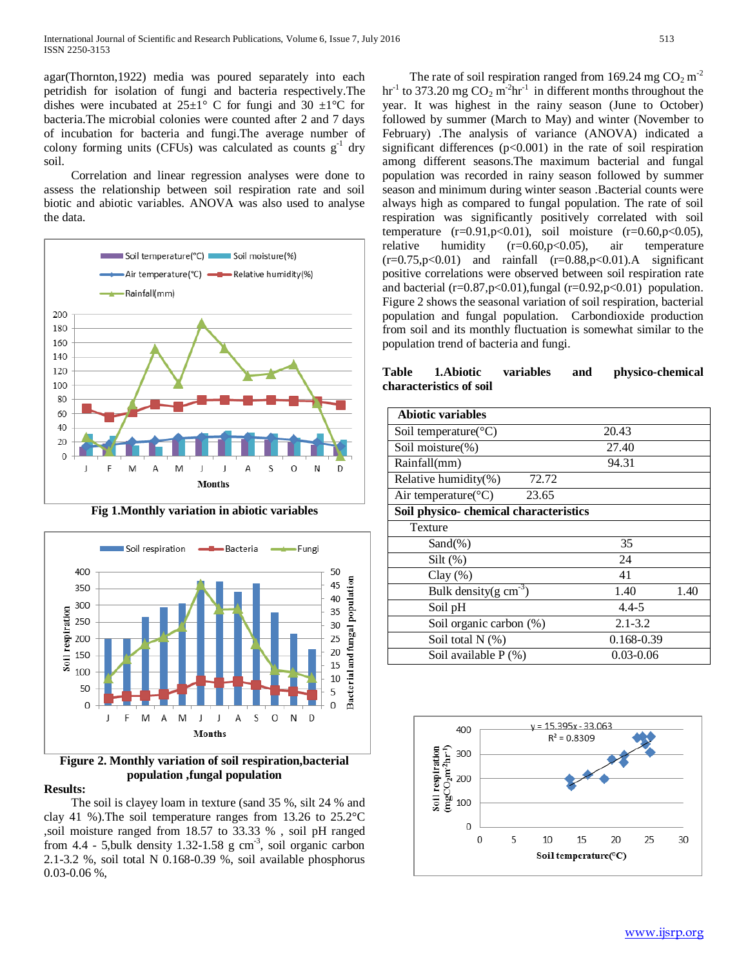agar(Thornton,1922) media was poured separately into each petridish for isolation of fungi and bacteria respectively.The dishes were incubated at  $25\pm1^{\circ}$  C for fungi and 30  $\pm1^{\circ}$ C for bacteria.The microbial colonies were counted after 2 and 7 days of incubation for bacteria and fungi.The average number of colony forming units (CFUs) was calculated as counts  $g^{-1}$  dry soil.

 Correlation and linear regression analyses were done to assess the relationship between soil respiration rate and soil biotic and abiotic variables. ANOVA was also used to analyse the data.



**Fig 1.Monthly variation in abiotic variables**



**Figure 2. Monthly variation of soil respiration,bacterial population ,fungal population**

# **Results:**

 The soil is clayey loam in texture (sand 35 %, silt 24 % and clay 41 %).The soil temperature ranges from 13.26 to 25.2°C ,soil moisture ranged from 18.57 to 33.33 % , soil pH ranged from  $4.4$  - 5, bulk density 1.32-1.58 g cm<sup>-3</sup>, soil organic carbon 2.1-3.2 %, soil total N 0.168-0.39 %, soil available phosphorus 0.03-0.06 %,

The rate of soil respiration ranged from 169.24 mg  $CO<sub>2</sub> m<sup>-2</sup>$ hr<sup>-1</sup> to 373.20 mg  $CO_2$  m<sup>-2</sup>hr<sup>-1</sup> in different months throughout the year. It was highest in the rainy season (June to October) followed by summer (March to May) and winter (November to February) .The analysis of variance (ANOVA) indicated a significant differences  $(p<0.001)$  in the rate of soil respiration among different seasons.The maximum bacterial and fungal population was recorded in rainy season followed by summer season and minimum during winter season .Bacterial counts were always high as compared to fungal population. The rate of soil respiration was significantly positively correlated with soil temperature  $(r=0.91, p<0.01)$ , soil moisture  $(r=0.60, p<0.05)$ , relative humidity (r=0.60,p<0.05), air temperature  $(r=0.75, p<0.01)$  and rainfall  $(r=0.88, p<0.01)$ . A significant positive correlations were observed between soil respiration rate and bacterial (r=0.87,p<0.01), fungal (r=0.92,p<0.01) population. Figure 2 shows the seasonal variation of soil respiration, bacterial population and fungal population. Carbondioxide production from soil and its monthly fluctuation is somewhat similar to the population trend of bacteria and fungi.

**Table 1.Abiotic variables and physico-chemical characteristics of soil**

| <b>Abiotic variables</b>                  |             |      |  |  |
|-------------------------------------------|-------------|------|--|--|
| Soil temperature( $\mathrm{^{\circ}C}$ )  | 20.43       |      |  |  |
| Soil moisture(%)                          | 27.40       |      |  |  |
| Rainfall(mm)                              | 94.31       |      |  |  |
| 72.72<br>Relative humidity(%)             |             |      |  |  |
| Air temperature( ${}^{\circ}$ C)<br>23.65 |             |      |  |  |
| Soil physico- chemical characteristics    |             |      |  |  |
| Texture                                   |             |      |  |  |
| $Sand(\% )$                               | 35          |      |  |  |
| $Silt$ $(\%)$                             | 24          |      |  |  |
| Clay $(\% )$                              | 41          |      |  |  |
| Bulk density(g $cm^{-3}$ )                | 1.40        | 1.40 |  |  |
| Soil pH                                   | $4.4 - 5$   |      |  |  |
| Soil organic carbon (%)                   | $2.1 - 3.2$ |      |  |  |
| Soil total $N$ $(\%)$                     | 0.168-0.39  |      |  |  |
| Soil available P (%)                      | 0.03-0.06   |      |  |  |

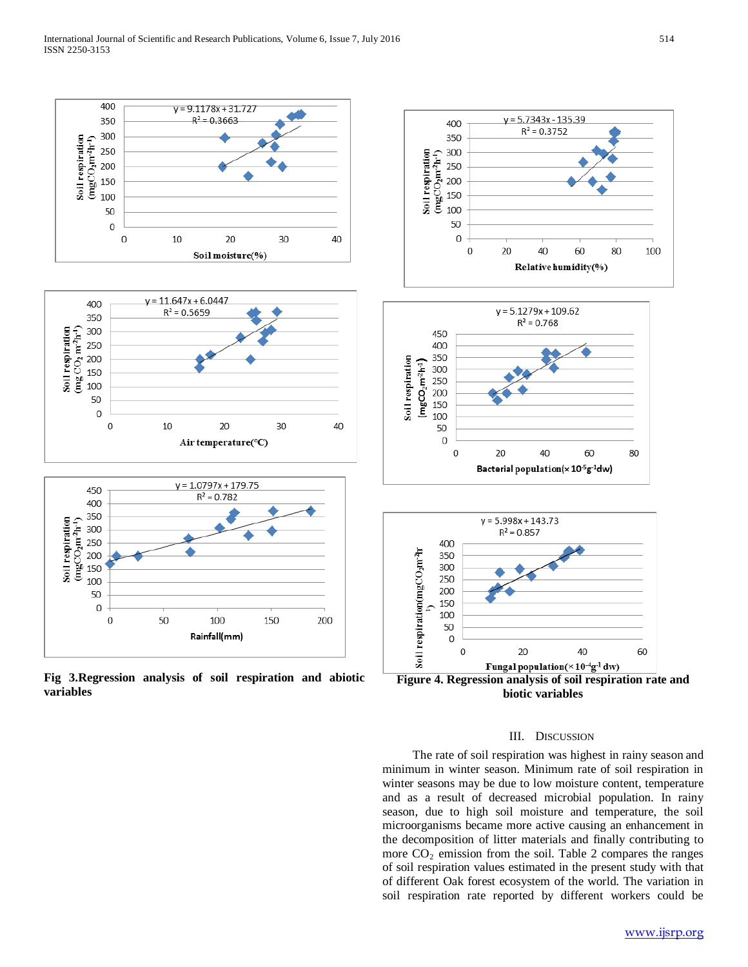

**Fig 3.Regression analysis of soil respiration and abiotic variables**



#### III. DISCUSSION

 The rate of soil respiration was highest in rainy season and minimum in winter season. Minimum rate of soil respiration in winter seasons may be due to low moisture content, temperature and as a result of decreased microbial population. In rainy season, due to high soil moisture and temperature, the soil microorganisms became more active causing an enhancement in the decomposition of litter materials and finally contributing to more  $CO<sub>2</sub>$  emission from the soil. Table 2 compares the ranges of soil respiration values estimated in the present study with that of different Oak forest ecosystem of the world. The variation in soil respiration rate reported by different workers could be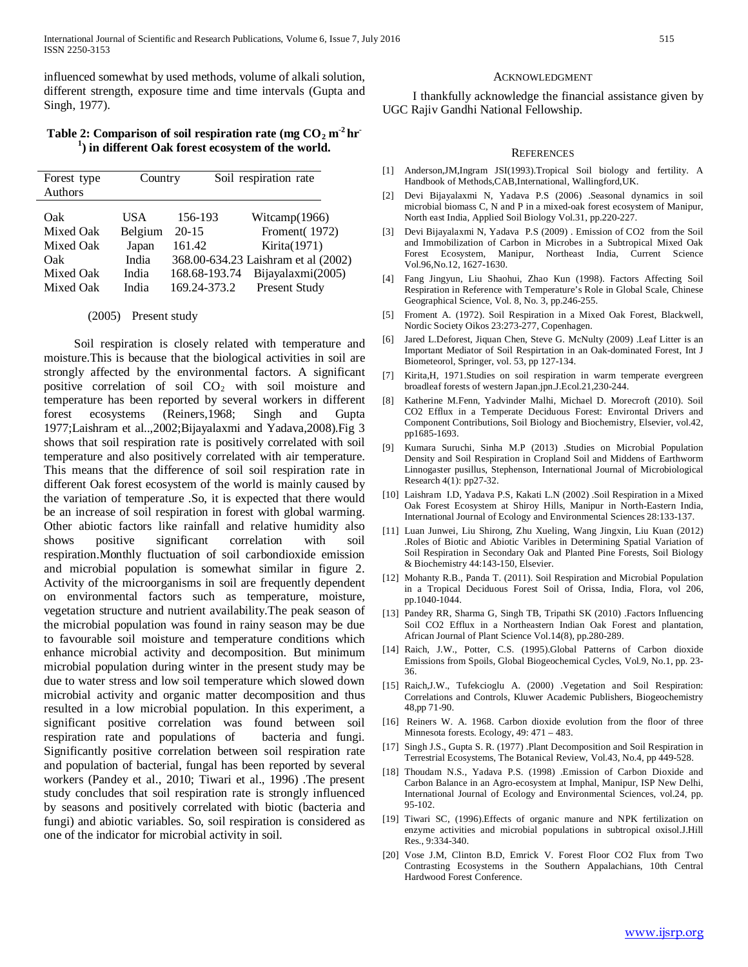influenced somewhat by used methods, volume of alkali solution, different strength, exposure time and time intervals (Gupta and Singh, 1977).

# Table 2: Comparison of soil respiration rate (mg  $CO<sub>2</sub>$  m<sup>-2</sup> hr **1 ) in different Oak forest ecosystem of the world.**

| Forest type<br>Authors                                         | Country                                            |                                                                 | Soil respiration rate                                                                                                          |
|----------------------------------------------------------------|----------------------------------------------------|-----------------------------------------------------------------|--------------------------------------------------------------------------------------------------------------------------------|
| Oak<br>Mixed Oak<br>Mixed Oak<br>Oak<br>Mixed Oak<br>Mixed Oak | USA<br>Belgium<br>Japan<br>India<br>India<br>India | 156-193<br>$20 - 15$<br>161.42<br>168.68-193.74<br>169.24-373.2 | Witcamp $(1966)$<br>Froment(1972)<br>Kirita(1971)<br>368.00-634.23 Laishram et al (2002)<br>Bijayalaxmi(2005)<br>Present Study |

## (2005) Present study

 Soil respiration is closely related with temperature and moisture.This is because that the biological activities in soil are strongly affected by the environmental factors. A significant positive correlation of soil CO<sub>2</sub> with soil moisture and temperature has been reported by several workers in different forest ecosystems (Reiners,1968; Singh and Gupta 1977;Laishram et al..,2002;Bijayalaxmi and Yadava,2008).Fig 3 shows that soil respiration rate is positively correlated with soil temperature and also positively correlated with air temperature. This means that the difference of soil soil respiration rate in different Oak forest ecosystem of the world is mainly caused by the variation of temperature .So, it is expected that there would be an increase of soil respiration in forest with global warming. Other abiotic factors like rainfall and relative humidity also shows positive significant correlation with soil respiration.Monthly fluctuation of soil carbondioxide emission and microbial population is somewhat similar in figure 2. Activity of the microorganisms in soil are frequently dependent on environmental factors such as temperature, moisture, vegetation structure and nutrient availability.The peak season of the microbial population was found in rainy season may be due to favourable soil moisture and temperature conditions which enhance microbial activity and decomposition. But minimum microbial population during winter in the present study may be due to water stress and low soil temperature which slowed down microbial activity and organic matter decomposition and thus resulted in a low microbial population. In this experiment, a significant positive correlation was found between soil respiration rate and populations of bacteria and fungi. Significantly positive correlation between soil respiration rate and population of bacterial, fungal has been reported by several workers (Pandey et al., 2010; Tiwari et al., 1996) .The present study concludes that soil respiration rate is strongly influenced by seasons and positively correlated with biotic (bacteria and fungi) and abiotic variables. So, soil respiration is considered as one of the indicator for microbial activity in soil.

#### ACKNOWLEDGMENT

 I thankfully acknowledge the financial assistance given by UGC Rajiv Gandhi National Fellowship.

#### **REFERENCES**

- [1] Anderson,JM,Ingram JSI(1993).Tropical Soil biology and fertility. A Handbook of Methods,CAB,International, Wallingford,UK.
- [2] Devi Bijayalaxmi N, Yadava P.S (2006) .Seasonal dynamics in soil microbial biomass C, N and P in a mixed-oak forest ecosystem of Manipur, North east India, Applied Soil Biology Vol.31, pp.220-227.
- [3] Devi Bijayalaxmi N, Yadava P.S (2009) . Emission of CO2 from the Soil and Immobilization of Carbon in Microbes in a Subtropical Mixed Oak Forest Ecosystem, Manipur, Northeast India, Current Science Vol.96,No.12, 1627-1630.
- [4] Fang Jingyun, Liu Shaohui, Zhao Kun (1998). Factors Affecting Soil Respiration in Reference with Temperature's Role in Global Scale, Chinese Geographical Science, Vol. 8, No. 3, pp.246-255.
- [5] Froment A. (1972). Soil Respiration in a Mixed Oak Forest, Blackwell, Nordic Society Oikos 23:273-277, Copenhagen.
- [6] Jared L.Deforest, Jiquan Chen, Steve G. McNulty (2009) .Leaf Litter is an Important Mediator of Soil Respirtation in an Oak-dominated Forest, Int J Biometeorol, Springer, vol. 53, pp 127-134.
- [7] Kirita,H, 1971.Studies on soil respiration in warm temperate evergreen broadleaf forests of western Japan.jpn.J.Ecol.21,230-244.
- [8] Katherine M.Fenn, Yadvinder Malhi, Michael D. Morecroft (2010). Soil CO2 Efflux in a Temperate Deciduous Forest: Environtal Drivers and Component Contributions, Soil Biology and Biochemistry, Elsevier, vol.42, pp1685-1693.
- [9] Kumara Suruchi, Sinha M.P (2013) .Studies on Microbial Population Density and Soil Respiration in Cropland Soil and Middens of Earthworm Linnogaster pusillus, Stephenson, International Journal of Microbiological Research 4(1): pp27-32.
- [10] Laishram I.D, Yadava P.S, Kakati L.N (2002) .Soil Respiration in a Mixed Oak Forest Ecosystem at Shiroy Hills, Manipur in North-Eastern India, International Journal of Ecology and Environmental Sciences 28:133-137.
- [11] Luan Junwei, Liu Shirong, Zhu Xueling, Wang Jingxin, Liu Kuan (2012) .Roles of Biotic and Abiotic Varibles in Determining Spatial Variation of Soil Respiration in Secondary Oak and Planted Pine Forests, Soil Biology & Biochemistry 44:143-150, Elsevier.
- [12] Mohanty R.B., Panda T. (2011). Soil Respiration and Microbial Population in a Tropical Deciduous Forest Soil of Orissa, India, Flora, vol 206, pp.1040-1044.
- [13] Pandey RR, Sharma G, Singh TB, Tripathi SK (2010) .Factors Influencing Soil CO2 Efflux in a Northeastern Indian Oak Forest and plantation, African Journal of Plant Science Vol.14(8), pp.280-289.
- [14] Raich, J.W., Potter, C.S. (1995).Global Patterns of Carbon dioxide Emissions from Spoils, Global Biogeochemical Cycles, Vol.9, No.1, pp. 23- 36.
- [15] Raich,J.W., Tufekcioglu A. (2000) .Vegetation and Soil Respiration: Correlations and Controls, Kluwer Academic Publishers, Biogeochemistry 48,pp 71-90.
- [16] Reiners W. A. 1968. Carbon dioxide evolution from the floor of three Minnesota forests. Ecology, 49: 471 – 483.
- [17] Singh J.S., Gupta S. R. (1977) .Plant Decomposition and Soil Respiration in Terrestrial Ecosystems, The Botanical Review, Vol.43, No.4, pp 449-528.
- [18] Thoudam N.S., Yadava P.S. (1998) .Emission of Carbon Dioxide and Carbon Balance in an Agro-ecosystem at Imphal, Manipur, ISP New Delhi, International Journal of Ecology and Environmental Sciences, vol.24, pp. 95-102.
- [19] Tiwari SC, (1996).Effects of organic manure and NPK fertilization on enzyme activities and microbial populations in subtropical oxisol.J.Hill Res., 9:334-340.
- [20] Vose J.M, Clinton B.D, Emrick V. Forest Floor CO2 Flux from Two Contrasting Ecosystems in the Southern Appalachians, 10th Central Hardwood Forest Conference.